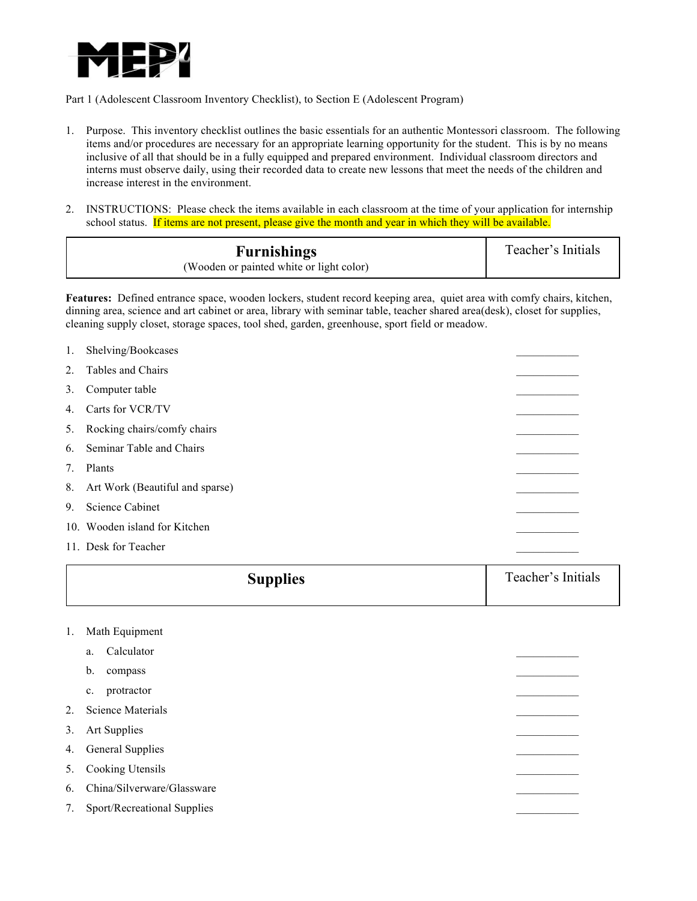

Part 1 (Adolescent Classroom Inventory Checklist), to Section E (Adolescent Program)

- 1. Purpose. This inventory checklist outlines the basic essentials for an authentic Montessori classroom. The following items and/or procedures are necessary for an appropriate learning opportunity for the student. This is by no means inclusive of all that should be in a fully equipped and prepared environment. Individual classroom directors and interns must observe daily, using their recorded data to create new lessons that meet the needs of the children and increase interest in the environment.
- 2. INSTRUCTIONS: Please check the items available in each classroom at the time of your application for internship school status. If items are not present, please give the month and year in which they will be available.

| <b>Furnishings</b>                       | Teacher's Initials |
|------------------------------------------|--------------------|
| (Wooden or painted white or light color) |                    |

**Features:** Defined entrance space, wooden lockers, student record keeping area, quiet area with comfy chairs, kitchen, dinning area, science and art cabinet or area, library with seminar table, teacher shared area(desk), closet for supplies, cleaning supply closet, storage spaces, tool shed, garden, greenhouse, sport field or meadow.

| 1.      | Shelving/Bookcases                 |  |
|---------|------------------------------------|--|
| $2_{1}$ | Tables and Chairs                  |  |
| 3.      | Computer table                     |  |
| 4.      | Carts for VCR/TV                   |  |
| 5.      | Rocking chairs/comfy chairs        |  |
| 6.      | Seminar Table and Chairs           |  |
| 7.      | Plants                             |  |
|         | 8. Art Work (Beautiful and sparse) |  |
| 9.      | <b>Science Cabinet</b>             |  |
|         | 10. Wooden island for Kitchen      |  |
|         | 11. Desk for Teacher               |  |

| <b>Supplies</b> | Teacher's Initials |
|-----------------|--------------------|
|                 |                    |

- 1. Math Equipment
	- a. Calculator
	- b. compass \_\_\_\_\_\_\_\_\_\_\_
	- c. protractor
- 2. Science Materials
- 3. Art Supplies

4. General Supplies

5. Cooking Utensils

6. China/Silverware/Glassware

7. Sport/Recreational Supplies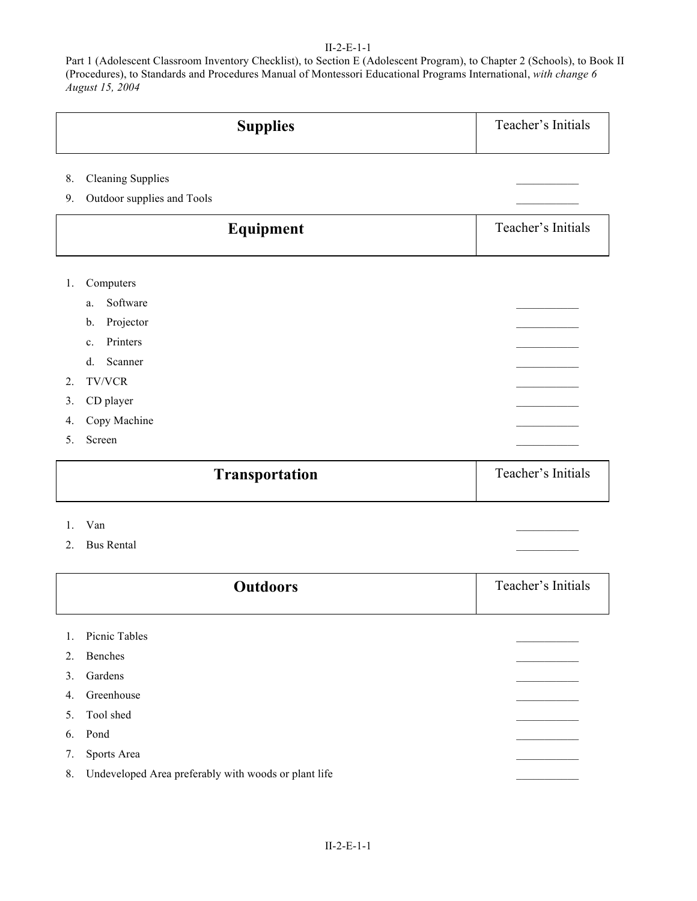## II-2-E-1-1

Part 1 (Adolescent Classroom Inventory Checklist), to Section E (Adolescent Program), to Chapter 2 (Schools), to Book II (Procedures), to Standards and Procedures Manual of Montessori Educational Programs International, *with change 6 August 15, 2004*

|    | <b>Supplies</b>            | Teacher's Initials |
|----|----------------------------|--------------------|
| 8. | <b>Cleaning Supplies</b>   |                    |
| 9. | Outdoor supplies and Tools |                    |
|    | Equipment                  | Teacher's Initials |
| 1. | Computers                  |                    |
|    | Software<br>a.             |                    |
|    | Projector<br>$\mathbf b$ . |                    |
|    | Printers<br>$c_{-}$        |                    |
|    | Scanner<br>d.              |                    |
| 2. | <b>TV/VCR</b>              |                    |
| 3. | CD player                  |                    |
| 4. | Copy Machine               |                    |
| 5. | Screen                     |                    |
|    | <b>Transportation</b>      | Teacher's Initials |

- 1. Van  $\blacksquare$
- 2. Bus Rental

|         | <b>Outdoors</b>                                      | Teacher's Initials |
|---------|------------------------------------------------------|--------------------|
| $1_{-}$ | Picnic Tables                                        |                    |
| 2.      | Benches                                              |                    |
| 3.      | Gardens                                              |                    |
| 4.      | Greenhouse                                           |                    |
| $5_{-}$ | Tool shed                                            |                    |
| 6.      | Pond                                                 |                    |
| 7.      | Sports Area                                          |                    |
| 8.      | Undeveloped Area preferably with woods or plant life |                    |